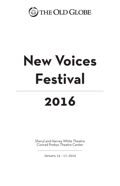

# **New Voices Festival**

## **2016**

Sheryl and Harvey White Theatre Conrad Prebys Theatre Center

January 15 – 17, 2016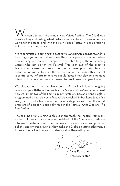elcome to our third annual New Voices Festival! The Old Globe boasts a long and distinguished history as an incubator of new American works for the stage, and with the New Voices Festival we are proud to build on that strong legacy.

We're committed to bringing the best new playwriting to San Diego, and we love to give you opportunities to see the artistic process in action. We're also working to expand the support we are able to give the outstanding writers who join us for the Festival. This year, two of the creative teams spent a week with us at the theatre, developing their pieces in collaboration with actors and the artistic staff of the Globe. This Festival is central to our efforts to develop a multifaceted new play development infrastructure here, and we are pleased to see it grow from year to year.

We always hope that the New Voices Festival will launch ongoing relationships with the writers we feature. Since 2013, we've commissioned new work from two of the Festival playwrights (JC Lee and Anna Ziegler), programmed a new play by a Festival playwright (Kimber Lee's *tokyo fish story*), and in just a few weeks, on this very stage, we will open the world premiere of a piece we originally read in the Festival: Anna Ziegler's *The Last Match*.

The exciting artists joining us this year approach the theatre from many angles, but they all share a common goal: to distill the American experience into vivid theatrical form. The four works they've created will provoke, delight, and entertain even as they make the Globe a cutting-edge venue for new drama. I look forward to sharing all of them with you.

Barry Edelstein Artistic Director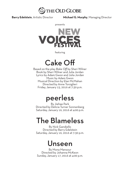

**Barry Edelstein**, Artistic Director **Michael G. Murphy**, Managing Director

presents



featuring

### Cake Off

Based on the play *Bake Off* by Sheri Wilner Book by Sheri Wilner and Julia Jordan Lyrics by Adam Gwon and Julia Jordan Music by Adam Gwon Musical Direction by Elan McMahan Directed by Anne Torsiglieri Friday, January 15, 2016 at 7:30 p.m.

## peerless

By Jiehae Park Directed by Delicia Turner Sonnenberg Saturday, January 16, 2016 at 4:00 p.m.

## The Blameless

By Nick Gandiello Directed by Barry Edelstein Saturday, January 16, 2016 at 7:30 p.m.

## Unseen

By Mona Mansour Directed by Johanna McKeon Sunday, January 17, 2016 at 4:00 p.m.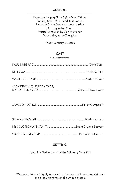#### **CAKE OFF**

Based on the play *Bake Off* by Sheri Wilner Book by Sheri Wilner and Julia Jordan Lyrics by Adam Gwon and Julia Jordan Music by Adam Gwon Musical Direction by Elan McMahan Directed by Anne Torsiglieri

Friday, January 15, 2016

#### **CAST**

(in alphabetical order)

| JACK DEVAULT, LENORA CASS, |  |
|----------------------------|--|

STAGE DIRECTIONS ......................................................................Sandy Campbell\*

#### **SETTING**

1996. The "baking floor" of the Millberry Cake Off.

\*Member of Actors' Equity Association, the union of Professional Actors and Stage Managers in the United States.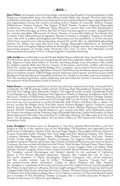**Sheri Wilner** very happily returns to San Diego, where her play *Kingdom City* premiered at La Jolla Playhouse in September 2014. Her other plays include *Father Joy, Hunger, The End, Labor Day,*  and *Relative Strangers,* and they have been performed and developed at major regional theatres<br>and organizations across the country including Actors Theatre of Louisville, Guthrie Theater, Williamstown Theatre Festival, The Eugene O'Neill Theater Center's National Playwrights Conference, University of California, Santa Barbara's Launch Pad, Lark Play Development Center, and New Georges, as well as the Old Vic New Voices program in London. Adapted from her one-act play *Bake Off* (winner of Actors Theatre of Louisville's National Ten-Minute Play Contest), *Cake Off* premiered at Signature Theatre Company in Arlington, Virginia, in October 2014. Her work is widely anthologized and Playscripts.com has published 12 of her one-acts, which have received over 200 productions around the world. Also an established playwriting teacher, Ms. Wilner has been the Fred Coe Visiting Playwright-in-Residence at Vanderbilt University and a Douglass Wallop Fellow at Washington College, and she was the head of the playwriting program at Florida State University from 2011 to 2012. She attended Cornell University and received her M.F.A. in Playwriting from Columbia University.

**Julia Jordan** has written the musicals *Murder Ballad, Bernice Bobs Her Hair, Sarah Plain and Tall, The Mice from 3hree,* and the upcoming *Storyville* and *The Ladykillers Ballad*. Her plays include *Boy, Tatjana in Color, Dark Yellow, St. Scarlet,* and *Henry Darger Lives Downstairs*. Her credits for children include *Walk Two Moons, Summer of the Swans*, and *Guitar*, written with Duncan Sheik. Ms. Jordan has received the Kleban Prize, Jonathan Larson Award, Primus Prize, Lucille Lortel Foundation fellowship, Manhattan Theatre Club fellowship, Heideman Award, Lecomte du Noüy Foundation Award, AT&T:OnStage Award, American Spirit Award, and three Susan Smith Blackburn Prize shortlist and honorable mentions. Ms. Jordan is a founder and vice president of The Lilly Awards Foundation, which celebrates and advocates for women in theatre, and she is the treasurer of the Dramatists Guild of America.

**Adam Gwon** is a composer and lyricist whose musicals have enjoyed more than 100 productions worldwide. His Off Broadway credits include *Ordinary Days* (Roundabout Theatre Company) and *Old Jews Telling Jokes* (Westside Theatre). His regional credits include *Cloudlands* (South Coast Repertory), *The Boy Detective Fails* (Signature Theatre Company), and *Bernice Bobs Her Hair* (Lyric Theatre of Oklahoma). *Ordinary Days* also played the West End at Trafalgar Studios. Mr. Gwon's songs have been performed at Carnegie Hall, Lincoln Center, The Kennedy Center, and more by such luminaries as Audra McDonald, Kelli O'Hara, and Brian d'Arcy James. His honors include the Kleban Prize, Fred Ebb Award, Richard Rodgers Award, Frederick Loewe Award, Second Stage Theatre Donna Perret Rosen Award, Weston Playhouse New Musical Award, ASCAP Foundation Harold Adamson Lyric Award, and MAC John Wallowitch Award. Mr. Gwon's recordings include *Ordinary Days* (Ghostlight Records), Audra McDonald's *Go Back Home* (Nonesuch Records), *The Essential Liz Callaway* (Working Girl Records), and *Over the Moon: The Broadway Lullaby Album*. He has been a fellow at The MacDowell Colony and the Dramatists Guild.

**Anne Torsiglieri** has been seen on Broadway in *Top Girls, Parade, Blood Brothers,* and *Miss Saigon* as well as in the national tour of *Les Misérables*. Off Broadway and regionally she has performed at Manhattan Theatre Club, Second Stage Theatre, Playwrights Horizons, Women's Project, Ensemble Studio Theatre, New York Stage and Film, Working Theater, York Theatre Company, Berkeley Repertory Theatre, Williamstown Theatre Festival, McCarter Theatre Center, Center Stage, Huntington Theatre Company, The Eugene O'Neill Theater Center, Sundance Institute Theatre Lab, Great Lakes Theater, Cleveland Play House, and Arizona Theatre Company. She has worked with directors Hal Prince, Mark Brokaw, Michael Mayer, Diane Paulus, James MacDonald, Marion McClinton, Irene Lewis, Connie Grappo, Mark Linn-Baker, Peter Hackett, Michael Langham, Eileen Myers, Susan Fenichell, David Wheeler, and Victoria Bussert. Ms. Torsiglieri earned DramaLogue and Garland Awards for her portrayal of Catherine Sloper in *The Heiress* (Berkeley Repertory Theatre). She created the role of Clara in the world premiere of *Marty* (Huntington Theatre Company). Her recent television<br>and film credits include "Law & Order," "Kidnapped," Vanessa, "Gossip Girl," and the award-winning *Albert Schweitzer: Called to Africa* (Gabriel and Telly Awards). Ms. Torsiglieri is a graduate of Princeton University and The Juilliard School, and she studied at the Vilnius Conservatory in Lithuania. She has taught acting at Princeton University, Dartmouth College, Stella Adler Studio of Acting, The Actors' Center, The New School, and the Conservatory of Theatre Arts at Purchase College. She is a Fox Fellow, a member of The 52nd Street Project, and a member of The WorkShop Theater Company. She is currently Associate Professor of Theater at University of California, Santa Barbara.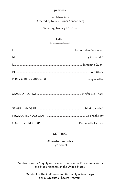#### **peerless**

By Jiehae Park Directed by Delicia Turner Sonnenberg

Saturday, January 16, 2016

#### **CAST**

(in alphabetical order)

|--|

#### **SETTING**

Midwestern suburbia. High school.

\*Member of Actors' Equity Association, the union of Professional Actors and Stage Managers in the United States.

> †Student in The Old Globe and University of San Diego Shiley Graduate Theatre Program.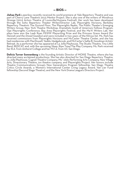**Jiehae Park**'s *peerless* recently received its world premiere at Yale Repertory Theatre and was part of Cherry Lane Theatre's 2015 Mentor Project. She is also one of the writers of *Wondrous Strange* (2016 Actors Theatre of Louisville/Humana Festival). Her work has been developed through the Soho Repertory Theater Writer/Director Lab, Playwrights Horizons, Berkeley Repertory Theatre's The Ground Floor, The Playwrights Realm, The Public Theater's Emerging Writers Group, New York Theatre Workshop, Dramatists Guild of America's Fellows Program, Ojai Playwrights Conference, Bay Area Playwrights Festival, and the Ma-Yi Writers Lab. Her plays have won the Leah Ryan FEWW Playwriting Prize and the Princess Grace Award (for *Hannah and the Dread Gazebo*) and were included in two years of the Kilroys list. Ms. Park has received commissions from Playwrights Horizons and McCarter Theatre Center, and she has had residencies with MacDowell, Yaddo, Hedgebrook, and McCarter's Sallie B. Goodman Artists' Retreat. As a performer she has appeared at La Jolla Playhouse, The Studio Theatre, Tiny Little Band, REDCAT, and, with the upcoming *Sleep*, Ripe Time/The Play Company. Ms. Park received her B.A. from Amherst College and her M.F.A. from UC San Diego.

**Delicia Turner Sonnenberg** is the founding Artistic Director of MOXIE Theatre, where she has<br>directed many acclaimed productions. She has also directed for San Diego Repertory Theatre, La Jolla Playhouse, Cygnet Theatre Company, Mo'olelo Performing Arts Company, New Village Arts, Diversionary Theatre, ion theatre company, and Playwrights Project. Her honors include Theatre Communications Group's New Generations Program fellowship, San Diego Theatre Critics Circle Awards, a Women's International Center Living Legacy Award, Van Lier Fund fellowship (Second Stage Theatre), and the New York Drama League's Directors Project.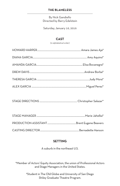#### **THE BLAMELESS**

By Nick Gandiello Directed by Barry Edelstein

Saturday, January 16, 2016

#### **CAST**

(in alphabetical order)

STAGE DIRECTIONS .............................................................. Christopher Salazar\*

#### **SETTING**

A suburb in the northeast U.S.

\*Member of Actors' Equity Association, the union of Professional Actors and Stage Managers in the United States.

> †Student in The Old Globe and University of San Diego Shiley Graduate Theatre Program.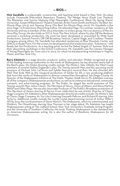**Nick Gandiello** is a playwright, screenwriter, and teaching artist based in New York. His plays include *Oceanside* (Merrimack Repertory Theatre), *The Wedge Horse* (Fault Line Theatre), *The Blameless* and *Sunrise Highway* (Ojai Playwrights Conference), *Black Fly Spring* (Xavier University), *Swept* (Williamstown Theatre Festival), *At the Finish* (Smith and Kraus's *The Best Ten-Minute Plays 2014*), and *Teeming Shore* (*The Best Ten-Minute Plays 2015*). Mr. Gandiello is the 2015 Page 73 Productions Playwriting Fellow. He attended Page 73's summer residency at Yale University and was a member of the 2014 Interstate 73 writers group. He is an alumnus of the Ars Nova Play Group. He also holds an M.F.A. from The New School, where his play *Off the Realness* received a workshop production. His work has been developed or presented by Wide Eyed Productions, Samuel French's Off Off Broadway Festival, Capital Stage, and Crashbox Theater Company, among others. Mr. Gandiello has attended residencies at Blue Mountain Center and SPACE on Ryder Farm. For the screen, he developed and shot a television pilot, "Substance," with Ready Set Go! Productions. As a teaching artist, he led the Naked Angels 3T Summer Style and their playwriting workshops in the GULD Conference. Mr. Gandiello was the Literary Manager of Young Playwrights Inc. from 2012 to 2015, for which he led playwriting workshops in Virginia, Miami, and New York City.

**Barry Edelstein** is a stage director, producer, author, and educator. Widely recognized as one<br>of the leading American authorities on the works of Shakespeare, he has directed nearly half of the Bard's plays. His Globe directing credits include *The Winter's Tale*; *Othello*; the West Coast premiere of novelist Nathan Englander's play *The Twenty-seventh Man*; and the upcoming world premiere of Michael John LaChiusa and Sybille Pearson's musical *Rain*. He also directed *All's Well That Ends Well* as the inaugural production of Globe for All, a new producing platform that tours the works of Shakespeare to diverse communities throughout San Diego County. As Director of the Shakespeare Initiative at The Public Theater (2008-2012), Mr. Edelstein oversaw all of the company's Shakespearean productions, as well as its extensive educational, community outreach, and artist-training programs. At The Public, he staged the world premiere of *The Twenty-seventh Man, Julius Caesar, The Merchant of Venice, Timon of Athens*, and Steve Martin's *WASP and Other Plays*. He was also Associate Producer of The Public's Broadway production of *The Merchant of Venice* starring Al Pacino. From 1998-2003 he was Artistic Director of Classic Stage Company. Mr. Edelstein's other Shakespearean directorial credits include *The Winter's Tale* at Classic Stage Company; *As You Like It* starring Gwyneth Paltrow; and *Richard III* starring John Turturro. Additional credits include the Lucille Lortel Award-winning revival of Arthur Miller's *All My Sons*; the world premiere of Steve Martin's *The Underpants,* which he commissioned; and Molière's *The Misanthrope* starring Uma Thurman in her stage debut. Mr. Edelstein has taught Shakespearean acting at The Juilliard School, New York University's Graduate Acting Program, and the University of Southern California. His book *Thinking Shakespeare* is the standard text on American Shakespearean acting. He is also the author of *Bardisms: Shakespeare for All Occasions*.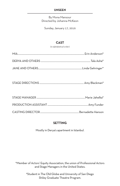#### **UNSEEN**

By Mona Mansour Directed by Johanna McKeon

Sunday, January 17, 2016

#### **CAST**

(in alphabetical order)

#### **SETTING**

Mostly in Derya's apartment in Istanbul.

\*Member of Actors' Equity Association, the union of Professional Actors and Stage Managers in the United States.

> †Student in The Old Globe and University of San Diego Shiley Graduate Theatre Program.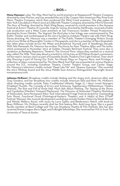**Mona Mansour**'s play *The Way West* had its world premiere at Steppenwolf Theatre Company, directed by Amy Morton, and was awarded the 2013 Sky Cooper New American Play Prize from Marin Theatre Company, which then produced the West Coast premiere. The play makes its New York City debut in March 2016 at LAByrinth Theater Company, directed by Mimi O'Donnell. *The Hour of Feeling*, directed by Mark Wing-Davey, received its world premiere in the Humana<br>Festival at Actors Theatre of Louisville. *Urge for Going,* directed by Hal Brooks, received a Public Lab production and a West Coast premiere at San Francisco's Golden Thread Productions, directed by Evren Odcikin. *The Vagrant*, the third play in her trilogy, was commissioned by The Public Theater and workshopped at the 2013 Sundance Institute Theatre Lab with Mark Wing-Davey directing. Ms. Mansour was a member of The Public Theater's Emerging Writers Group and a Core Writer at Playwrights' Center in Minneapolis, and she is a member of New Dramatists. Her other plays include *Across the Water* and *Broadcast Yourself*, part of Headlong's Decade. With Tala Manassah, Ms. Mansour has written *The House* for Noor Theatre; *After*; and *The Letter,*  which premiered in November 2012 at Golden Thread's ReOrient Festival. They were also in residence at Berkeley Repertory Theatre's The Ground Floor, where they worked on a musical play called *The Wife*. Their play about a scientist in 1970s Iraq, an EST/Sloan Project commission, will be read in January 2016 as part of Ensemble Studio Theatre's First Light Festival. Their short play *Dressing* is part of *Facing Our Truth: Ten Minute Plays on Trayvon, Race, and Privilege*, a collection of plays commissioned by The New Black Fest that was presented at various theatres around the U.S., including Goodman Theatre, Center Theatre Group, and Center Stage. Ms. Mansour's television credits include "Dead Like Me" and "Queens Supreme." She received the 2012 Whiting Award and the 2014 Middle East America Distinguished Playwright Award. monamansour.com.

**Johanna McKeon**'s Broadway credits include *Hedwig and the Angry Inch, American Idiot,* and *Grey Gardens*, and her Broadway tour credits include *American Idiot* and *Rent*. Ms. McKeon's other directing credits include *Tokio Confidential* (Atlantic Stage 2), *I Have Loved Strangers* (Clubbed Thumb), *The Comedy of Errors* and *Schmoozy Togetherness* (Williamstown Theatre Festival), *The Rise and Fall of Annie Hall, Much Ado About Nothing, The Taming of the Shrew,* and *Cymbeline* (Martha's Vineyard Playhouse), *The Moscows of Nantucket* (Theatre Workshop of Nantucket), *Semi-Permanent* (New York International Fringe Festival Award for Outstanding Solo Show), *Functional Drunk* (Ontological-Hysteric Theater), and *A Hatful of Rain* (ITSelF Festival, Warsaw). Her musical development workshops include *Golden Motors* by Derek Bermel and Wendy Walters; *Rosie!*, with music by Larry Gatlin; and *Biederman's Match*, with book by Beau Willimon. Ms. McKeon recently shot her first feature film, *Auld Lang Syne*. She is a guest<br>faculty member at Bard College and The Lee Strasberg Theatre & Film Institute. She has also faculty member at Bard College and The Lee Strasberg Theatre & Film Institute. She has also<br>received Drama League, Boris Sagal, and Fulbright fellowships. She received her M.F.A. from The University of Texas at Austin.